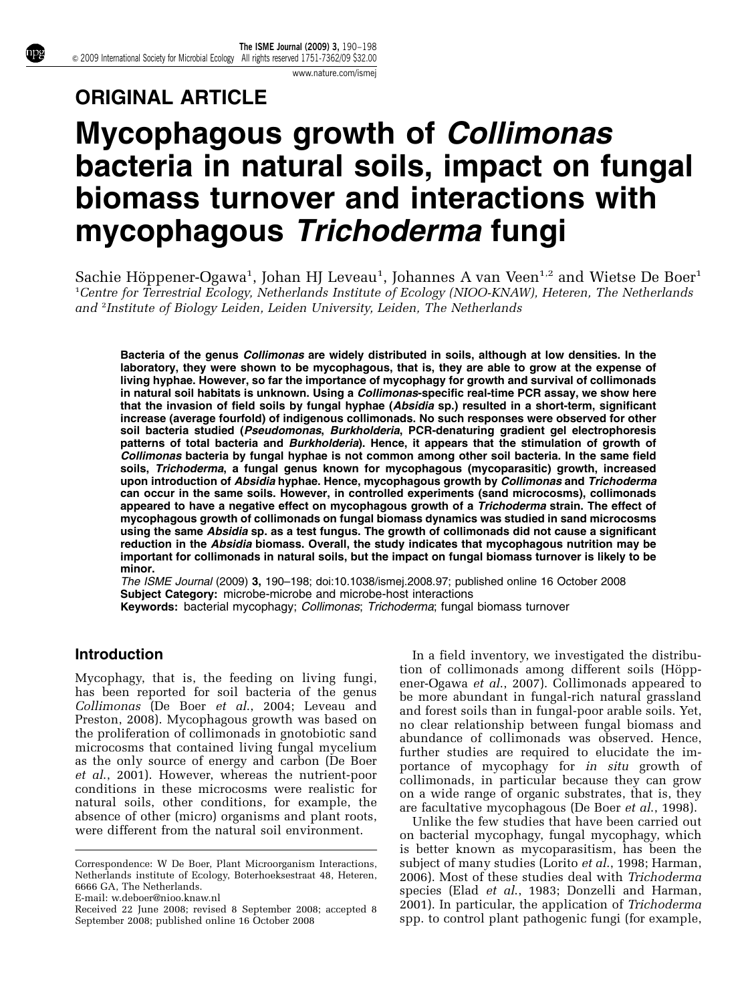[www.nature.com/ismej](http://www.nature.com/ismej)

# ORIGINAL ARTICLE

# Mycophagous growth of Collimonas bacteria in natural soils, impact on fungal biomass turnover and interactions with mycophagous Trichoderma fungi

Sachie Höppener-Ogawa<sup>1</sup>, Johan HJ Leveau<sup>1</sup>, Johannes A van Veen<sup>1,2</sup> and Wietse De Boer<sup>1</sup> <sup>1</sup>Centre for Terrestrial Ecology, Netherlands Institute of Ecology (NIOO-KNAW), Heteren, The Netherlands and <sup>2</sup>Institute of Biology Leiden, Leiden University, Leiden, The Netherlands

Bacteria of the genus Collimonas are widely distributed in soils, although at low densities. In the laboratory, they were shown to be mycophagous, that is, they are able to grow at the expense of living hyphae. However, so far the importance of mycophagy for growth and survival of collimonads in natural soil habitats is unknown. Using a *Collimonas*-specific real-time PCR assay, we show here that the invasion of field soils by fungal hyphae (Absidia sp.) resulted in a short-term, significant increase (average fourfold) of indigenous collimonads. No such responses were observed for other soil bacteria studied (Pseudomonas, Burkholderia, PCR-denaturing gradient gel electrophoresis patterns of total bacteria and Burkholderia). Hence, it appears that the stimulation of growth of Collimonas bacteria by fungal hyphae is not common among other soil bacteria. In the same field soils, Trichoderma, a fungal genus known for mycophagous (mycoparasitic) growth, increased upon introduction of Absidia hyphae. Hence, mycophagous growth by Collimonas and Trichoderma can occur in the same soils. However, in controlled experiments (sand microcosms), collimonads appeared to have a negative effect on mycophagous growth of a Trichoderma strain. The effect of mycophagous growth of collimonads on fungal biomass dynamics was studied in sand microcosms using the same Absidia sp. as a test fungus. The growth of collimonads did not cause a significant reduction in the Absidia biomass. Overall, the study indicates that mycophagous nutrition may be important for collimonads in natural soils, but the impact on fungal biomass turnover is likely to be minor.

The ISME Journal (2009) 3, 190–198; doi:[10.1038/ismej.2008.97;](http://dx.doi.org/10.1038/ismej.2008.97) published online 16 October 2008 Subject Category: microbe-microbe and microbe-host interactions Keywords: bacterial mycophagy; Collimonas; Trichoderma; fungal biomass turnover

# Introduction

Mycophagy, that is, the feeding on living fungi, has been reported for soil bacteria of the genus Collimonas [\(De Boer](#page-7-0) et al., 2004; [Leveau and](#page-8-0) [Preston, 2008](#page-8-0)). Mycophagous growth was based on the proliferation of collimonads in gnotobiotic sand microcosms that contained living fungal mycelium as the only source of energy and carbon ([De Boer](#page-7-0) et al[., 2001\)](#page-7-0). However, whereas the nutrient-poor conditions in these microcosms were realistic for natural soils, other conditions, for example, the absence of other (micro) organisms and plant roots, were different from the natural soil environment.

Correspondence: W De Boer, Plant Microorganism Interactions, Netherlands institute of Ecology, Boterhoeksestraat 48, Heteren, 6666 GA, The Netherlands.

E-mail: [w.deboer@nioo.knaw.nl](mailto:w.deboer@nioo.knaw.nl)

In a field inventory, we investigated the distribution of collimonads among different soils (Höpp[ener-Ogawa](#page-8-0) et al., 2007). Collimonads appeared to be more abundant in fungal-rich natural grassland and forest soils than in fungal-poor arable soils. Yet, no clear relationship between fungal biomass and abundance of collimonads was observed. Hence, further studies are required to elucidate the importance of mycophagy for in situ growth of collimonads, in particular because they can grow on a wide range of organic substrates, that is, they are facultative mycophagous [\(De Boer](#page-7-0) et al., 1998).

Unlike the few studies that have been carried out on bacterial mycophagy, fungal mycophagy, which is better known as mycoparasitism, has been the subject of many studies (Lorito et al[., 1998;](#page-8-0) [Harman,](#page-7-0) [2006\)](#page-7-0). Most of these studies deal with Trichoderma species (Elad *et al.*, 1983; Donzelli and Harman, [2001\)](#page-7-0). In particular, the application of Trichoderma Received 22 June 2008; revised 8 September 2008; accepted 8 2001). In particular, the application of Trichoderma

September 2008; published online 16 October 2008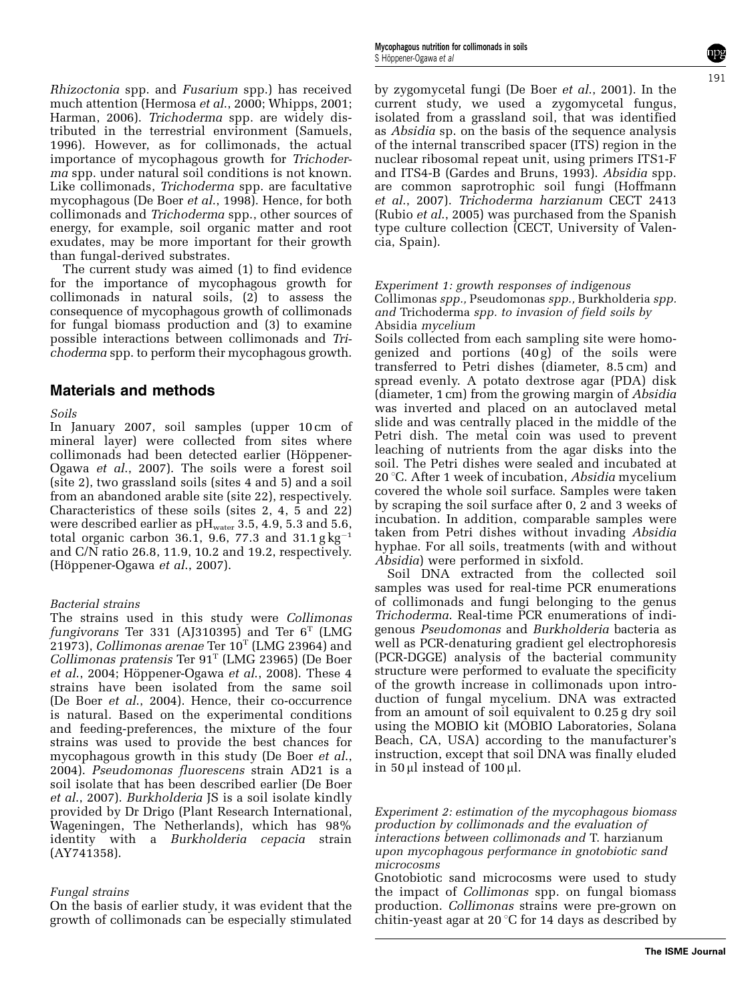Rhizoctonia spp. and Fusarium spp.) has received much attention [\(Hermosa](#page-7-0) et al., 2000; [Whipps, 2001;](#page-8-0) [Harman, 2006](#page-7-0)). Trichoderma spp. are widely distributed in the terrestrial environment [\(Samuels,](#page-8-0) [1996\)](#page-8-0). However, as for collimonads, the actual importance of mycophagous growth for Trichoderma spp. under natural soil conditions is not known. Like collimonads, Trichoderma spp. are facultative mycophagous [\(De Boer](#page-7-0) et al., 1998). Hence, for both collimonads and Trichoderma spp., other sources of energy, for example, soil organic matter and root exudates, may be more important for their growth than fungal-derived substrates.

The current study was aimed (1) to find evidence for the importance of mycophagous growth for collimonads in natural soils, (2) to assess the consequence of mycophagous growth of collimonads for fungal biomass production and (3) to examine possible interactions between collimonads and Trichoderma spp. to perform their mycophagous growth.

## Materials and methods

#### Soils

In January 2007, soil samples (upper 10 cm of mineral layer) were collected from sites where collimonads had been detected earlier (Höppener-Ogawa et al[., 2007\)](#page-8-0). The soils were a forest soil (site 2), two grassland soils (sites 4 and 5) and a soil from an abandoned arable site (site 22), respectively. Characteristics of these soils (sites 2, 4, 5 and 22) were described earlier as  $pH_{water}$  3.5, 4.9, 5.3 and 5.6, total organic carbon 36.1, 9.6, 77.3 and  $31.1 \text{ g kg}^{-1}$ and C/N ratio 26.8, 11.9, 10.2 and 19.2, respectively.  $(Höppener-Ogawa et al., 2007).$ 

#### Bacterial strains

The strains used in this study were Collimonas fungivorans Ter 331 (AJ310395) and Ter  $6<sup>T</sup>$  (LMG 21973), Collimonas arenae Ter  $10^{\text{T}}$  (LMG 23964) and Collimonas pratensis Ter  $91<sup>T</sup>$  (LMG 23965) ([De Boer](#page-7-0) et al[., 2004](#page-7-0); Höppener-Ogawa et al., 2008). These  $4$ strains have been isolated from the same soil [\(De Boer](#page-7-0) et al., 2004). Hence, their co-occurrence is natural. Based on the experimental conditions and feeding-preferences, the mixture of the four strains was used to provide the best chances for mycophagous growth in this study ([De Boer](#page-7-0) *et al.*, [2004\)](#page-7-0). Pseudomonas fluorescens strain AD21 is a soil isolate that has been described earlier [\(De Boer](#page-7-0) et al[., 2007\)](#page-7-0). Burkholderia JS is a soil isolate kindly provided by Dr Drigo (Plant Research International, Wageningen, The Netherlands), which has 98% identity with a Burkholderia cepacia strain (AY741358).

#### Fungal strains

On the basis of earlier study, it was evident that the growth of collimonads can be especially stimulated by zygomycetal fungi ([De Boer](#page-7-0) et al., 2001). In the current study, we used a zygomycetal fungus, isolated from a grassland soil, that was identified as Absidia sp. on the basis of the sequence analysis of the internal transcribed spacer (ITS) region in the nuclear ribosomal repeat unit, using primers ITS1-F and ITS4-B ([Gardes and Bruns, 1993\)](#page-7-0). Absidia spp. are common saprotrophic soil fungi ([Hoffmann](#page-8-0) et al[., 2007\)](#page-8-0). Trichoderma harzianum CECT 2413 (Rubio et al[., 2005\)](#page-8-0) was purchased from the Spanish type culture collection (CECT, University of Valencia, Spain).

#### Experiment 1: growth responses of indigenous Collimonas spp., Pseudomonas spp., Burkholderia spp. and Trichoderma spp. to invasion of field soils by Absidia mycelium

Soils collected from each sampling site were homogenized and portions  $(40 g)$  of the soils were transferred to Petri dishes (diameter, 8.5 cm) and spread evenly. A potato dextrose agar (PDA) disk (diameter, 1 cm) from the growing margin of Absidia was inverted and placed on an autoclaved metal slide and was centrally placed in the middle of the Petri dish. The metal coin was used to prevent leaching of nutrients from the agar disks into the soil. The Petri dishes were sealed and incubated at 20  $\degree$ C. After 1 week of incubation, Absidia mycelium covered the whole soil surface. Samples were taken by scraping the soil surface after 0, 2 and 3 weeks of incubation. In addition, comparable samples were taken from Petri dishes without invading Absidia hyphae. For all soils, treatments (with and without Absidia) were performed in sixfold.

Soil DNA extracted from the collected soil samples was used for real-time PCR enumerations of collimonads and fungi belonging to the genus Trichoderma. Real-time PCR enumerations of indigenous Pseudomonas and Burkholderia bacteria as well as PCR-denaturing gradient gel electrophoresis (PCR-DGGE) analysis of the bacterial community structure were performed to evaluate the specificity of the growth increase in collimonads upon introduction of fungal mycelium. DNA was extracted from an amount of soil equivalent to 0.25 g dry soil using the MOBIO kit (MOBIO Laboratories, Solana Beach, CA, USA) according to the manufacturer's instruction, except that soil DNA was finally eluded in 50  $\mu$ l instead of 100  $\mu$ l.

Experiment 2: estimation of the mycophagous biomass production by collimonads and the evaluation of interactions between collimonads and T. harzianum upon mycophagous performance in gnotobiotic sand microcosms

Gnotobiotic sand microcosms were used to study the impact of Collimonas spp. on fungal biomass production. Collimonas strains were pre-grown on chitin-yeast agar at 20  $\degree$ C for 14 days as described by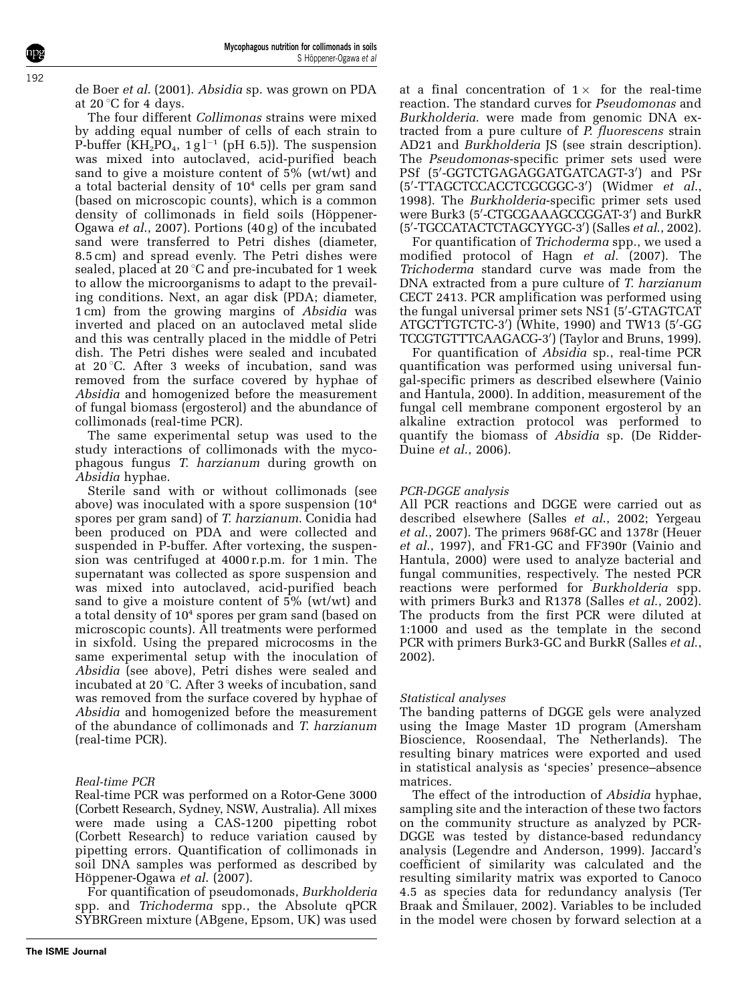[de Boer](#page-7-0) et al. (2001). Absidia sp. was grown on PDA at 20 $\degree$ C for 4 days.

The four different Collimonas strains were mixed by adding equal number of cells of each strain to P-buffer ( $\text{KH}_{2}^{2}PO_{4}$ , 1g<sup>-1</sup> (pH 6.5)). The suspension was mixed into autoclaved, acid-purified beach sand to give a moisture content of 5% (wt/wt) and a total bacterial density of  $10<sup>4</sup>$  cells per gram sand (based on microscopic counts), which is a common density of collimonads in field soils (Höppener-Ogawa et al[., 2007\)](#page-8-0). Portions (40 g) of the incubated sand were transferred to Petri dishes (diameter, 8.5 cm) and spread evenly. The Petri dishes were sealed, placed at  $20^{\circ}$ C and pre-incubated for 1 week to allow the microorganisms to adapt to the prevailing conditions. Next, an agar disk (PDA; diameter, 1 cm) from the growing margins of Absidia was inverted and placed on an autoclaved metal slide and this was centrally placed in the middle of Petri dish. The Petri dishes were sealed and incubated at  $20^{\circ}$ C. After 3 weeks of incubation, sand was removed from the surface covered by hyphae of Absidia and homogenized before the measurement of fungal biomass (ergosterol) and the abundance of collimonads (real-time PCR).

The same experimental setup was used to the study interactions of collimonads with the mycophagous fungus T. harzianum during growth on Absidia hyphae.

Sterile sand with or without collimonads (see above) was inoculated with a spore suspension (10<sup>4</sup> spores per gram sand) of T. harzianum. Conidia had been produced on PDA and were collected and suspended in P-buffer. After vortexing, the suspension was centrifuged at 4000 r.p.m. for 1 min. The supernatant was collected as spore suspension and was mixed into autoclaved, acid-purified beach sand to give a moisture content of  $5\%$  (wt/wt) and a total density of 10<sup>4</sup> spores per gram sand (based on microscopic counts). All treatments were performed in sixfold. Using the prepared microcosms in the same experimental setup with the inoculation of Absidia (see above), Petri dishes were sealed and incubated at 20  $\degree$ C. After 3 weeks of incubation, sand was removed from the surface covered by hyphae of Absidia and homogenized before the measurement of the abundance of collimonads and T. harzianum (real-time PCR).

# Real-time PCR

Real-time PCR was performed on a Rotor-Gene 3000 (Corbett Research, Sydney, NSW, Australia). All mixes were made using a CAS-1200 pipetting robot (Corbett Research) to reduce variation caused by pipetting errors. Quantification of collimonads in soil DNA samples was performed as described by Höppener-Ogawa et al. (2007).

For quantification of pseudomonads, Burkholderia spp. and Trichoderma spp., the Absolute qPCR SYBRGreen mixture (ABgene, Epsom, UK) was used

at a final concentration of 1 $\times$  for the real-time reaction. The standard curves for Pseudomonas and Burkholderia. were made from genomic DNA extracted from a pure culture of P. fluorescens strain AD21 and Burkholderia JS (see strain description). The Pseudomonas-specific primer sets used were PSf (5'-GGTCTGAGAGGATGATCAGT-3') and PSr (5'-TTAGCTCCACCTCGCGGC-3') [\(Widmer](#page-8-0) et al., [1998\)](#page-8-0). The Burkholderia-specific primer sets used were Burk3 (5′-CTGCGAAAGCCGGAT-3′) and BurkR (5'-TGCCATACTCTAGCYYGC-3') (Salles et al[., 2002\)](#page-8-0).

For quantification of Trichoderma spp., we used a modified protocol of Hagn et al. (2007). The Trichoderma standard curve was made from the DNA extracted from a pure culture of T. harzianum CECT 2413. PCR amplification was performed using the fungal universal primer sets NS1 (5'-GTAGTCAT ATGCTTGTCTC-3′) [\(White, 1990](#page-8-0)) and TW13 (5′-GG TCCGTGTTTCAAGACG-3') [\(Taylor and Bruns, 1999\)](#page-8-0).

For quantification of Absidia sp., real-time PCR quantification was performed using universal fungal-specific primers as described elsewhere ([Vainio](#page-8-0) [and Hantula, 2000](#page-8-0)). In addition, measurement of the fungal cell membrane component ergosterol by an alkaline extraction protocol was performed to quantify the biomass of Absidia sp. [\(De Ridder-](#page-7-0)Duine et al[., 2006\)](#page-7-0).

# PCR-DGGE analysis

All PCR reactions and DGGE were carried out as described elsewhere (Salles et al[., 2002; Yergeau](#page-8-0) et al[., 2007](#page-8-0)). The primers 968f-GC and 1378r ([Heuer](#page-8-0) et al[., 1997\)](#page-8-0), and FR1-GC and FF390r [\(Vainio and](#page-8-0) [Hantula, 2000](#page-8-0)) were used to analyze bacterial and fungal communities, respectively. The nested PCR reactions were performed for Burkholderia spp. with primers Burk3 and R1378 (Salles et al[., 2002](#page-8-0)). The products from the first PCR were diluted at 1:1000 and used as the template in the second PCR with primers Burk3-GC and BurkR [\(Salles](#page-8-0) et al., [2002\)](#page-8-0).

## Statistical analyses

The banding patterns of DGGE gels were analyzed using the Image Master 1D program (Amersham Bioscience, Roosendaal, The Netherlands). The resulting binary matrices were exported and used in statistical analysis as 'species' presence–absence matrices.

The effect of the introduction of Absidia hyphae, sampling site and the interaction of these two factors on the community structure as analyzed by PCR-DGGE was tested by distance-based redundancy analysis ([Legendre and Anderson, 1999\)](#page-8-0). Jaccard's coefficient of similarity was calculated and the resulting similarity matrix was exported to Canoco 4.5 as species data for redundancy analysis ([Ter](#page-8-0) Braak and Smilauer, 2002). Variables to be included in the model were chosen by forward selection at a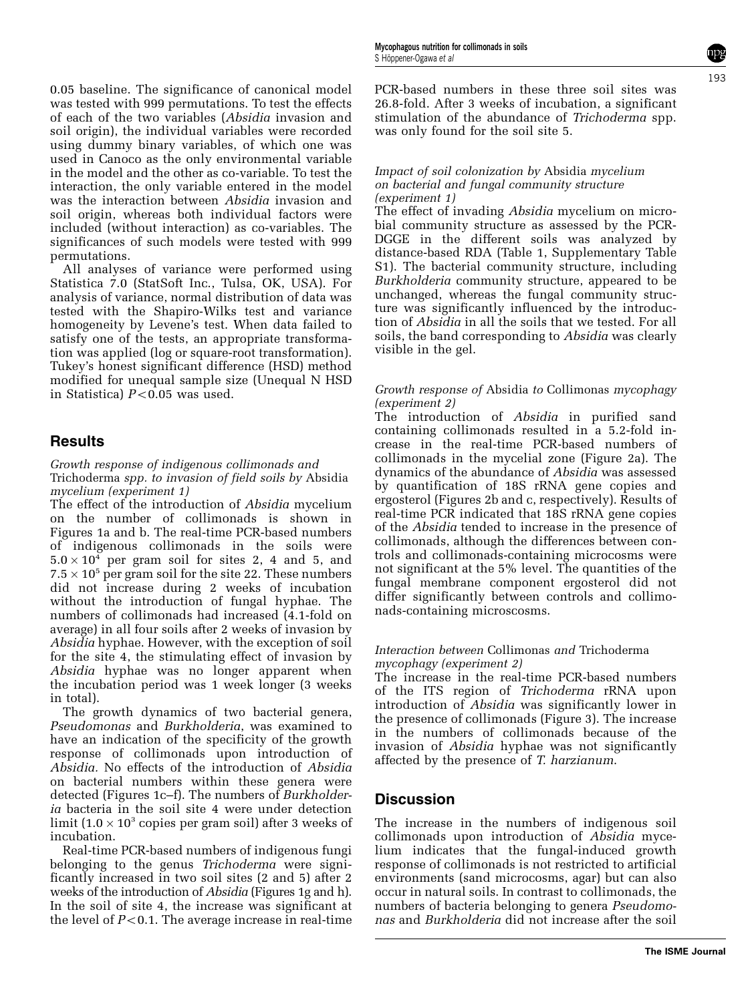0.05 baseline. The significance of canonical model was tested with 999 permutations. To test the effects of each of the two variables (Absidia invasion and soil origin), the individual variables were recorded using dummy binary variables, of which one was used in Canoco as the only environmental variable in the model and the other as co-variable. To test the interaction, the only variable entered in the model was the interaction between Absidia invasion and soil origin, whereas both individual factors were included (without interaction) as co-variables. The significances of such models were tested with 999 permutations.

All analyses of variance were performed using Statistica 7.0 (StatSoft Inc., Tulsa, OK, USA). For analysis of variance, normal distribution of data was tested with the Shapiro-Wilks test and variance homogeneity by Levene's test. When data failed to satisfy one of the tests, an appropriate transformation was applied (log or square-root transformation). Tukey's honest significant difference (HSD) method modified for unequal sample size (Unequal N HSD in Statistica)  $P < 0.05$  was used.

# **Results**

Growth response of indigenous collimonads and Trichoderma spp. to invasion of field soils by Absidia mycelium (experiment 1)

The effect of the introduction of Absidia mycelium on the number of collimonads is shown in [Figures 1a and b](#page-4-0). The real-time PCR-based numbers of indigenous collimonads in the soils were  $5.0 \times 10^4$  per gram soil for sites 2, 4 and 5, and  $7.5 \times 10^5$  per gram soil for the site 22. These numbers did not increase during 2 weeks of incubation without the introduction of fungal hyphae. The numbers of collimonads had increased (4.1-fold on average) in all four soils after 2 weeks of invasion by Absidia hyphae. However, with the exception of soil for the site 4, the stimulating effect of invasion by Absidia hyphae was no longer apparent when the incubation period was 1 week longer (3 weeks in total).

The growth dynamics of two bacterial genera, Pseudomonas and Burkholderia, was examined to have an indication of the specificity of the growth response of collimonads upon introduction of Absidia. No effects of the introduction of Absidia on bacterial numbers within these genera were detected ([Figures 1c–f\)](#page-4-0). The numbers of Burkholderia bacteria in the soil site 4 were under detection limit (1.0  $\times$  10<sup>3</sup> copies per gram soil) after 3 weeks of incubation.

Real-time PCR-based numbers of indigenous fungi belonging to the genus Trichoderma were significantly increased in two soil sites (2 and 5) after 2 weeks of the introduction of Absidia ([Figures 1g and h\)](#page-4-0). In the soil of site 4, the increase was significant at the level of  $P<0.1$ . The average increase in real-time PCR-based numbers in these three soil sites was 26.8-fold. After 3 weeks of incubation, a significant stimulation of the abundance of Trichoderma spp. was only found for the soil site 5.

#### Impact of soil colonization by Absidia mycelium on bacterial and fungal community structure (experiment 1)

The effect of invading Absidia mycelium on microbial community structure as assessed by the PCR-DGGE in the different soils was analyzed by distance-based RDA ([Table 1,](#page-5-0) Supplementary Table S1). The bacterial community structure, including Burkholderia community structure, appeared to be unchanged, whereas the fungal community structure was significantly influenced by the introduction of Absidia in all the soils that we tested. For all soils, the band corresponding to Absidia was clearly visible in the gel.

#### Growth response of Absidia to Collimonas mycophagy (experiment 2)

The introduction of *Absidia* in purified sand containing collimonads resulted in a 5.2-fold increase in the real-time PCR-based numbers of collimonads in the mycelial zone [\(Figure 2a\)](#page-6-0). The dynamics of the abundance of Absidia was assessed by quantification of 18S rRNA gene copies and ergosterol [\(Figures 2b and c,](#page-6-0) respectively). Results of real-time PCR indicated that 18S rRNA gene copies of the Absidia tended to increase in the presence of collimonads, although the differences between controls and collimonads-containing microcosms were not significant at the 5% level. The quantities of the fungal membrane component ergosterol did not differ significantly between controls and collimonads-containing microscosms.

#### Interaction between Collimonas and Trichoderma mycophagy (experiment 2)

The increase in the real-time PCR-based numbers of the ITS region of Trichoderma rRNA upon introduction of Absidia was significantly lower in the presence of collimonads [\(Figure 3\)](#page-7-0). The increase in the numbers of collimonads because of the invasion of Absidia hyphae was not significantly affected by the presence of T. harzianum.

# **Discussion**

The increase in the numbers of indigenous soil collimonads upon introduction of Absidia mycelium indicates that the fungal-induced growth response of collimonads is not restricted to artificial environments (sand microcosms, agar) but can also occur in natural soils. In contrast to collimonads, the numbers of bacteria belonging to genera Pseudomonas and Burkholderia did not increase after the soil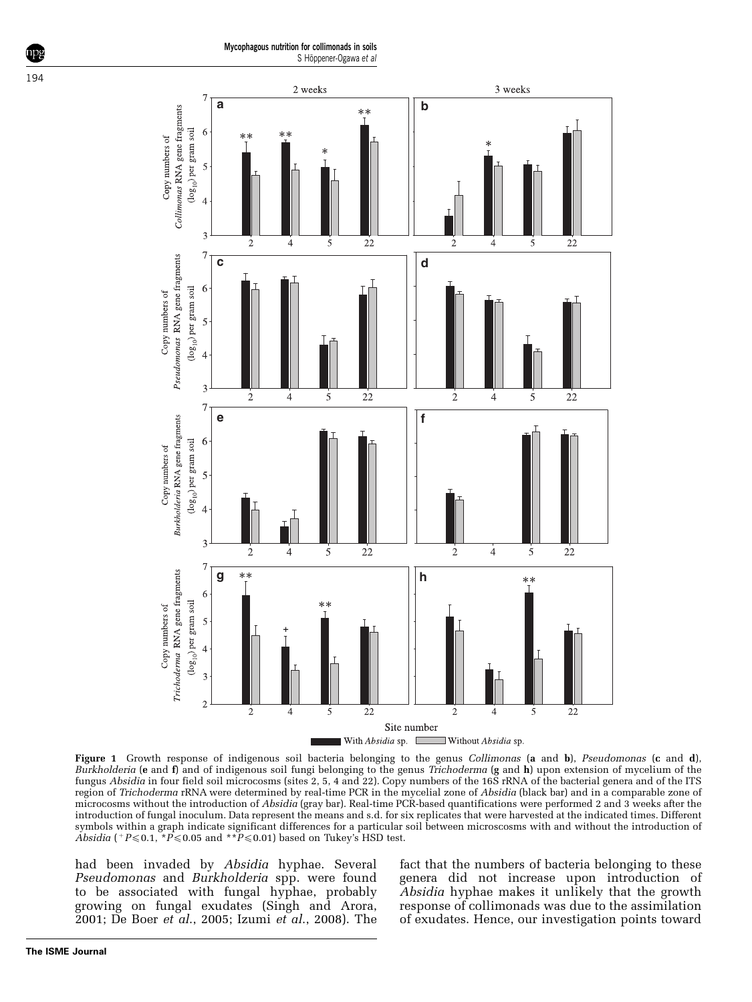<span id="page-4-0"></span>

Figure 1 Growth response of indigenous soil bacteria belonging to the genus Collimonas (a and b), Pseudomonas (c and d), Burkholderia (e and f) and of indigenous soil fungi belonging to the genus Trichoderma (g and h) upon extension of mycelium of the fungus Absidia in four field soil microcosms (sites 2, 5, 4 and 22). Copy numbers of the 16S rRNA of the bacterial genera and of the ITS region of Trichoderma rRNA were determined by real-time PCR in the mycelial zone of Absidia (black bar) and in a comparable zone of microcosms without the introduction of Absidia (gray bar). Real-time PCR-based quantifications were performed 2 and 3 weeks after the introduction of fungal inoculum. Data represent the means and s.d. for six replicates that were harvested at the indicated times. Different symbols within a graph indicate significant differences for a particular soil between microscosms with and without the introduction of Absidia ( $P \le 0.1$ ,  $\angle P \le 0.05$  and  $\angle P \le 0.01$ ) based on Tukey's HSD test.

had been invaded by Absidia hyphae. Several Pseudomonas and Burkholderia spp. were found to be associated with fungal hyphae, probably growing on fungal exudates ([Singh and Arora,](#page-8-0) [2001;](#page-8-0) [De Boer](#page-7-0) et al., 2005; Izumi et al[., 2008\)](#page-8-0). The fact that the numbers of bacteria belonging to these genera did not increase upon introduction of Absidia hyphae makes it unlikely that the growth response of collimonads was due to the assimilation of exudates. Hence, our investigation points toward

**The ISME Journal**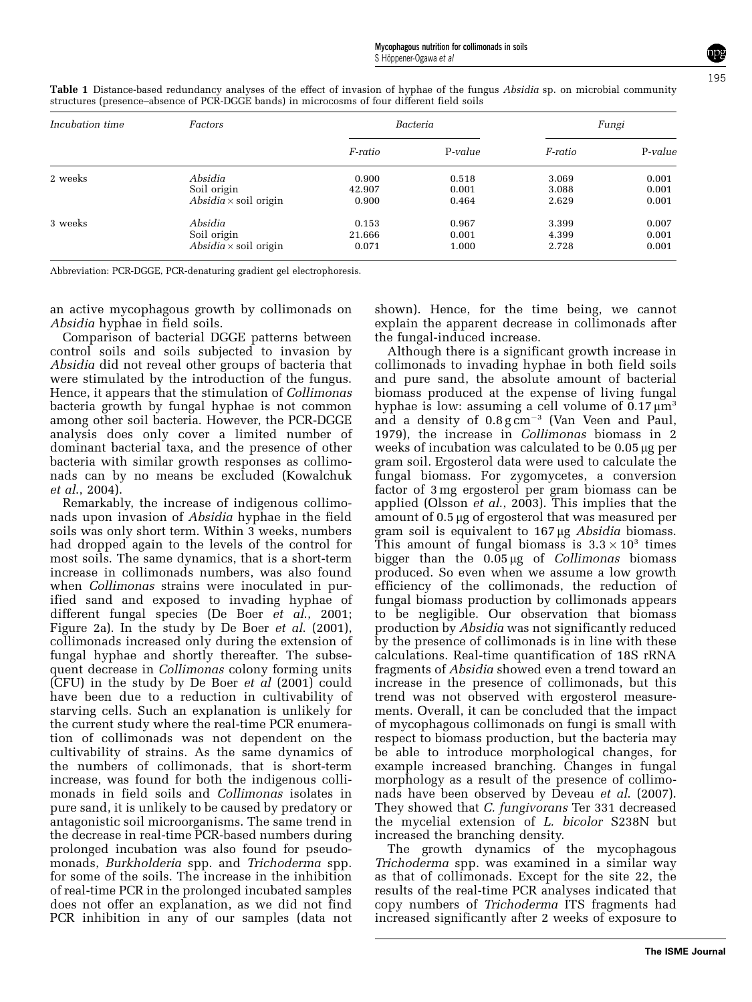195

| Incubation time | Factors                      | Bacteria |         | Fungi   |         |
|-----------------|------------------------------|----------|---------|---------|---------|
|                 |                              | F-ratio  | P-value | F-ratio | P-value |
| 2 weeks         | Absidia                      | 0.900    | 0.518   | 3.069   | 0.001   |
|                 | Soil origin                  | 42.907   | 0.001   | 3.088   | 0.001   |
|                 | $Absidia \times soil$ origin | 0.900    | 0.464   | 2.629   | 0.001   |
| 3 weeks         | Absidia                      | 0.153    | 0.967   | 3.399   | 0.007   |
|                 | Soil origin                  | 21.666   | 0.001   | 4.399   | 0.001   |
|                 | $Absidia \times soil$ origin | 0.071    | 1.000   | 2.728   | 0.001   |

<span id="page-5-0"></span>Table 1 Distance-based redundancy analyses of the effect of invasion of hyphae of the fungus Absidia sp. on microbial community structures (presence–absence of PCR-DGGE bands) in microcosms of four different field soils

Abbreviation: PCR-DGGE, PCR-denaturing gradient gel electrophoresis.

an active mycophagous growth by collimonads on Absidia hyphae in field soils.

Comparison of bacterial DGGE patterns between control soils and soils subjected to invasion by Absidia did not reveal other groups of bacteria that were stimulated by the introduction of the fungus. Hence, it appears that the stimulation of Collimonas bacteria growth by fungal hyphae is not common among other soil bacteria. However, the PCR-DGGE analysis does only cover a limited number of dominant bacterial taxa, and the presence of other bacteria with similar growth responses as collimonads can by no means be excluded ([Kowalchuk](#page-8-0) et al[., 2004\)](#page-8-0).

Remarkably, the increase of indigenous collimonads upon invasion of Absidia hyphae in the field soils was only short term. Within  $\overline{3}$  weeks, numbers had dropped again to the levels of the control for most soils. The same dynamics, that is a short-term increase in collimonads numbers, was also found when *Collimonas* strains were inoculated in purified sand and exposed to invading hyphae of different fungal species ([De Boer](#page-7-0) et  $a\hat{l}$ , 2001; [Figure 2a](#page-6-0)). In the study by [De Boer](#page-7-0) *et al.* (2001), collimonads increased only during the extension of fungal hyphae and shortly thereafter. The subsequent decrease in Collimonas colony forming units (CFU) in the study by [De Boer](#page-7-0) et al (2001) could have been due to a reduction in cultivability of starving cells. Such an explanation is unlikely for the current study where the real-time PCR enumeration of collimonads was not dependent on the cultivability of strains. As the same dynamics of the numbers of collimonads, that is short-term increase, was found for both the indigenous collimonads in field soils and Collimonas isolates in pure sand, it is unlikely to be caused by predatory or antagonistic soil microorganisms. The same trend in the decrease in real-time PCR-based numbers during prolonged incubation was also found for pseudomonads, Burkholderia spp. and Trichoderma spp. for some of the soils. The increase in the inhibition of real-time PCR in the prolonged incubated samples does not offer an explanation, as we did not find PCR inhibition in any of our samples (data not

shown). Hence, for the time being, we cannot explain the apparent decrease in collimonads after the fungal-induced increase.

Although there is a significant growth increase in collimonads to invading hyphae in both field soils and pure sand, the absolute amount of bacterial biomass produced at the expense of living fungal hyphae is low: assuming a cell volume of  $0.17 \mu m<sup>3</sup>$ and a density of  $0.8 g \text{ cm}^{-3}$  [\(Van Veen and Paul,](#page-8-0) [1979\)](#page-8-0), the increase in Collimonas biomass in 2 weeks of incubation was calculated to be 0.05 µg per gram soil. Ergosterol data were used to calculate the fungal biomass. For zygomycetes, a conversion factor of 3 mg ergosterol per gram biomass can be applied (Olsson et al[., 2003\)](#page-8-0). This implies that the amount of 0.5 µg of ergosterol that was measured per gram soil is equivalent to  $167 \mu g$  *Absidia* biomass. This amount of fungal biomass is  $3.3 \times 10^3$  times bigger than the  $0.05 \mu$ g of *Collimonas* biomass produced. So even when we assume a low growth efficiency of the collimonads, the reduction of fungal biomass production by collimonads appears to be negligible. Our observation that biomass production by Absidia was not significantly reduced by the presence of collimonads is in line with these calculations. Real-time quantification of 18S rRNA fragments of Absidia showed even a trend toward an increase in the presence of collimonads, but this trend was not observed with ergosterol measurements. Overall, it can be concluded that the impact of mycophagous collimonads on fungi is small with respect to biomass production, but the bacteria may be able to introduce morphological changes, for example increased branching. Changes in fungal morphology as a result of the presence of collimo-nads have been observed by Deveau et al[. \(2007\).](#page-7-0) They showed that C. fungivorans Ter 331 decreased the mycelial extension of L. bicolor S238N but increased the branching density.

The growth dynamics of the mycophagous Trichoderma spp. was examined in a similar way as that of collimonads. Except for the site 22, the results of the real-time PCR analyses indicated that copy numbers of Trichoderma ITS fragments had increased significantly after 2 weeks of exposure to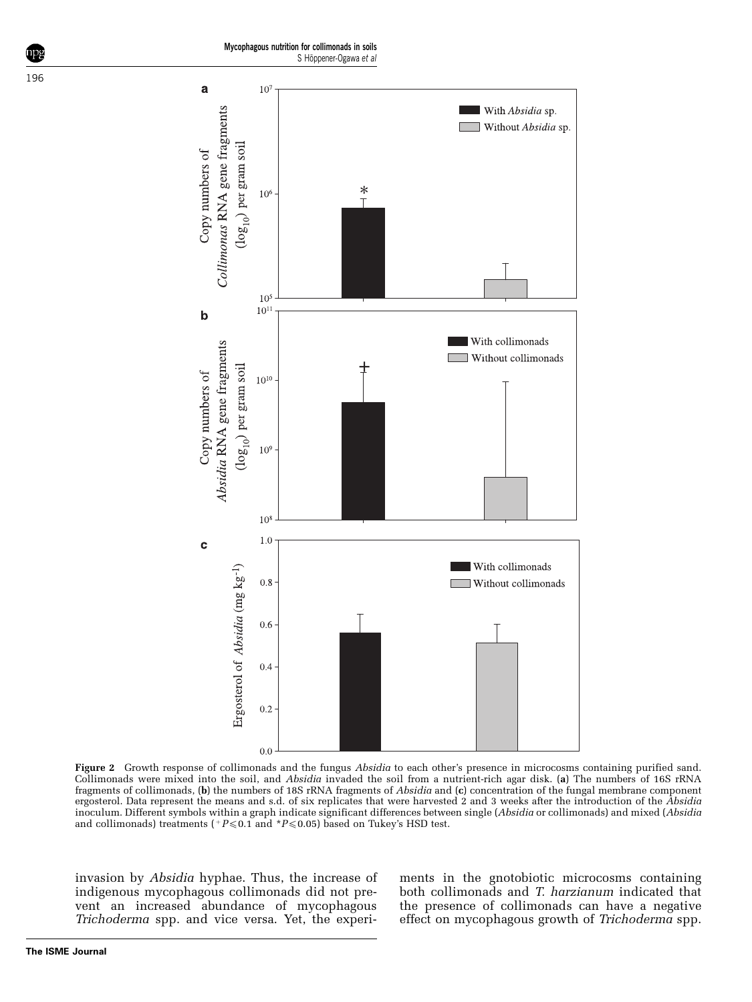Mycophagous nutrition for collimonads in soils S Höppener-Ogawa et al

<span id="page-6-0"></span>



Figure 2 Growth response of collimonads and the fungus Absidia to each other's presence in microcosms containing purified sand. Collimonads were mixed into the soil, and Absidia invaded the soil from a nutrient-rich agar disk. (a) The numbers of 16S rRNA fragments of collimonads, (b) the numbers of 18S rRNA fragments of Absidia and (c) concentration of the fungal membrane component ergosterol. Data represent the means and s.d. of six replicates that were harvested 2 and 3 weeks after the introduction of the Absidia inoculum. Different symbols within a graph indicate significant differences between single (Absidia or collimonads) and mixed (Absidia and collimonads) treatments ( $P \le 0.1$  and  $P \le 0.05$ ) based on Tukey's HSD test.

invasion by Absidia hyphae. Thus, the increase of indigenous mycophagous collimonads did not prevent an increased abundance of mycophagous Trichoderma spp. and vice versa. Yet, the experiments in the gnotobiotic microcosms containing both collimonads and T. harzianum indicated that the presence of collimonads can have a negative effect on mycophagous growth of Trichoderma spp.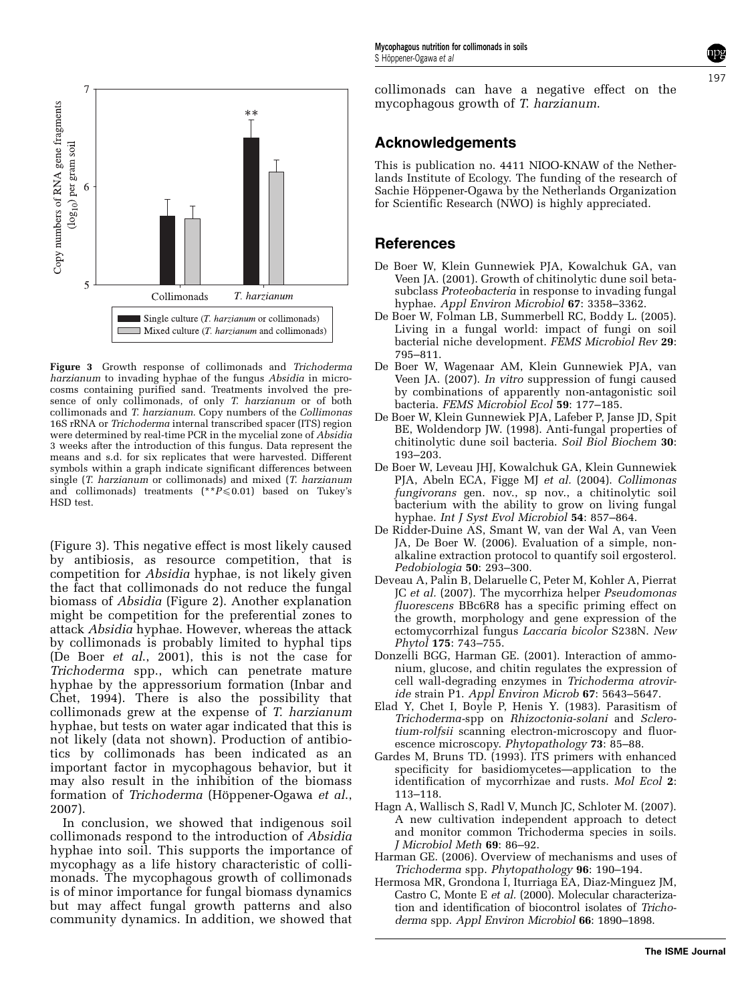

<span id="page-7-0"></span>

 $\Box$  Mixed culture (*T. harzianum* and collimonads)

Copy numbers of RNA gene fragments

Figure 3 Growth response of collimonads and Trichoderma harzianum to invading hyphae of the fungus Absidia in microcosms containing purified sand. Treatments involved the presence of only collimonads, of only T. harzianum or of both collimonads and T. harzianum. Copy numbers of the Collimonas 16S rRNA or Trichoderma internal transcribed spacer (ITS) region were determined by real-time PCR in the mycelial zone of Absidia 3 weeks after the introduction of this fungus. Data represent the means and s.d. for six replicates that were harvested. Different symbols within a graph indicate significant differences between single (T. harzianum or collimonads) and mixed (T. harzianum and collimonads) treatments (\*\* $P \le 0.01$ ) based on Tukey's HSD test.

(Figure 3). This negative effect is most likely caused by antibiosis, as resource competition, that is competition for Absidia hyphae, is not likely given the fact that collimonads do not reduce the fungal biomass of Absidia [\(Figure 2](#page-6-0)). Another explanation might be competition for the preferential zones to attack Absidia hyphae. However, whereas the attack by collimonads is probably limited to hyphal tips (De Boer et al., 2001), this is not the case for Trichoderma spp., which can penetrate mature hyphae by the appressorium formation [\(Inbar and](#page-8-0) [Chet, 1994](#page-8-0)). There is also the possibility that collimonads grew at the expense of T. harzianum hyphae, but tests on water agar indicated that this is not likely (data not shown). Production of antibiotics by collimonads has been indicated as an important factor in mycophagous behavior, but it may also result in the inhibition of the biomass formation of Trichoderma (Höppener-Ogawa et al., [2007\)](#page-8-0).

In conclusion, we showed that indigenous soil collimonads respond to the introduction of Absidia hyphae into soil. This supports the importance of mycophagy as a life history characteristic of collimonads. The mycophagous growth of collimonads is of minor importance for fungal biomass dynamics but may affect fungal growth patterns and also community dynamics. In addition, we showed that collimonads can have a negative effect on the mycophagous growth of T. harzianum.

# Acknowledgements

This is publication no. 4411 NIOO-KNAW of the Netherlands Institute of Ecology. The funding of the research of Sachie Höppener-Ogawa by the Netherlands Organization for Scientific Research (NWO) is highly appreciated.

# References

- De Boer W, Klein Gunnewiek PJA, Kowalchuk GA, van Veen JA. (2001). Growth of chitinolytic dune soil betasubclass Proteobacteria in response to invading fungal hyphae. Appl Environ Microbiol 67: 3358–3362.
- De Boer W, Folman LB, Summerbell RC, Boddy L. (2005). Living in a fungal world: impact of fungi on soil bacterial niche development. FEMS Microbiol Rev 29: 795–811.
- De Boer W, Wagenaar AM, Klein Gunnewiek PJA, van Veen JA. (2007). In vitro suppression of fungi caused by combinations of apparently non-antagonistic soil bacteria. FEMS Microbiol Ecol 59: 177-185.
- De Boer W, Klein Gunnewiek PJA, Lafeber P, Janse JD, Spit BE, Woldendorp JW. (1998). Anti-fungal properties of chitinolytic dune soil bacteria. Soil Biol Biochem 30: 193–203.
- De Boer W, Leveau JHJ, Kowalchuk GA, Klein Gunnewiek PJA, Abeln ECA, Figge MJ et al. (2004). Collimonas fungivorans gen. nov., sp nov., a chitinolytic soil bacterium with the ability to grow on living fungal hyphae. Int J Syst Evol Microbiol 54: 857–864.
- De Ridder-Duine AS, Smant W, van der Wal A, van Veen JA, De Boer W. (2006). Evaluation of a simple, nonalkaline extraction protocol to quantify soil ergosterol. Pedobiologia 50: 293–300.
- Deveau A, Palin B, Delaruelle C, Peter M, Kohler A, Pierrat JC et al. (2007). The mycorrhiza helper Pseudomonas fluorescens BBc6R8 has a specific priming effect on the growth, morphology and gene expression of the ectomycorrhizal fungus Laccaria bicolor S238N. New Phytol 175: 743–755.
- Donzelli BGG, Harman GE. (2001). Interaction of ammonium, glucose, and chitin regulates the expression of cell wall-degrading enzymes in Trichoderma atroviride strain P1. Appl Environ Microb 67: 5643–5647.
- Elad Y, Chet I, Boyle P, Henis Y. (1983). Parasitism of Trichoderma-spp on Rhizoctonia-solani and Sclerotium-rolfsii scanning electron-microscopy and fluorescence microscopy. Phytopathology 73: 85–88.
- Gardes M, Bruns TD. (1993). ITS primers with enhanced specificity for basidiomycetes—application to the identification of mycorrhizae and rusts. Mol Ecol 2: 113–118.
- Hagn A, Wallisch S, Radl V, Munch JC, Schloter M. (2007). A new cultivation independent approach to detect and monitor common Trichoderma species in soils. J Microbiol Meth 69: 86–92.
- Harman GE. (2006). Overview of mechanisms and uses of Trichoderma spp. Phytopathology 96: 190–194.
- Hermosa MR, Grondona I, Iturriaga EA, Diaz-Minguez JM, Castro C, Monte E et al. (2000). Molecular characterization and identification of biocontrol isolates of Trichoderma spp. Appl Environ Microbiol 66: 1890–1898.